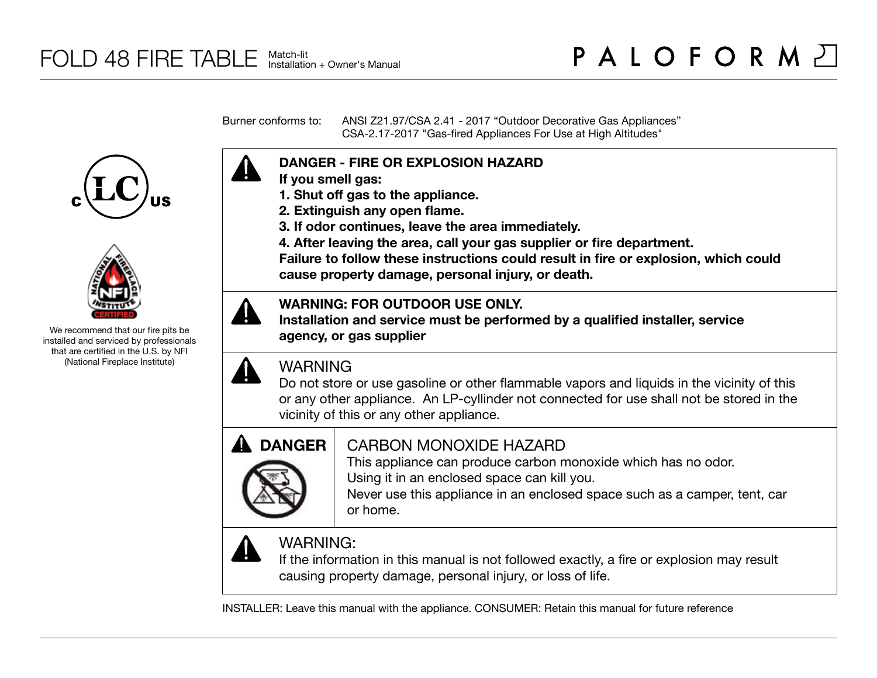Burner conforms to: ANSI Z21.97/CSA 2.41 - 2017 "Outdoor Decorative Gas Appliances" CSA-2.17-2017 "Gas-fired Appliances For Use at High Altitudes"





We recommend that our fire pits be installed and serviced by professionals that are certified in the U.S. by NFI (National Fireplace Institute)



- **If you smell gas:**
- **1. Shut off gas to the appliance.**
- **2. Extinguish any open flame.**
- **3. If odor continues, leave the area immediately.**
- **4. After leaving the area, call your gas supplier or fire department.**

**Failure to follow these instructions could result in fire or explosion, which could cause property damage, personal injury, or death.**

### **WARNING: FOR OUTDOOR USE ONLY.**

**Installation and service must be performed by a qualified installer, service agency, or gas supplier**

## WARNING

Do not store or use gasoline or other flammable vapors and liquids in the vicinity of this or any other appliance. An LP-cyllinder not connected for use shall not be stored in the vicinity of this or any other appliance.



# CARBON MONOXIDE HAZARD

This appliance can produce carbon monoxide which has no odor. Using it in an enclosed space can kill you.

Never use this appliance in an enclosed space such as a camper, tent, car or home.



# WARNING:

If the information in this manual is not followed exactly, a fire or explosion may result causing property damage, personal injury, or loss of life.

INSTALLER: Leave this manual with the appliance. CONSUMER: Retain this manual for future reference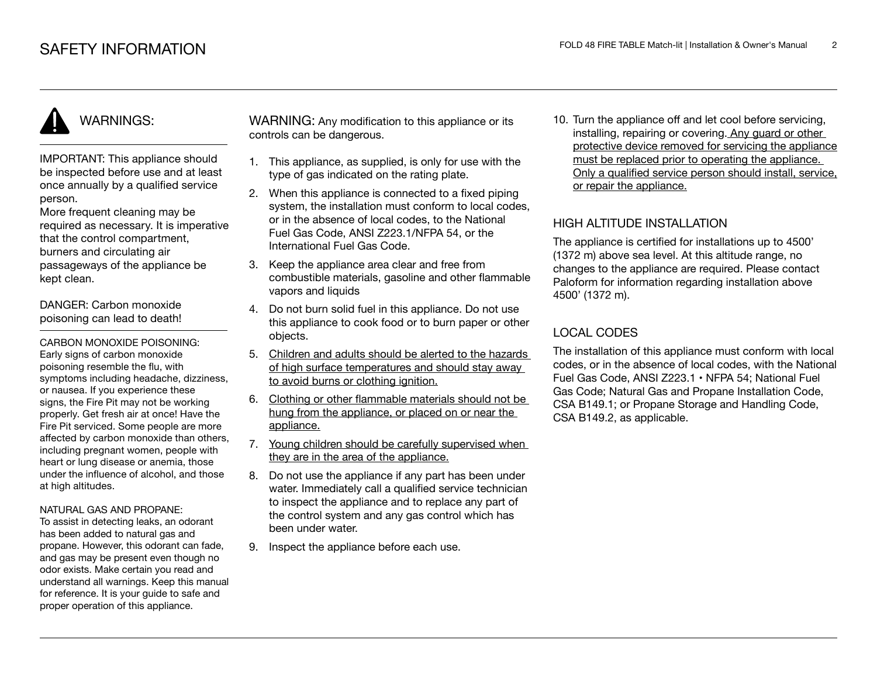# WARNINGS:

IMPORTANT: This appliance should be inspected before use and at least once annually by a qualified service person.

More frequent cleaning may be required as necessary. It is imperative that the control compartment, burners and circulating air passageways of the appliance be kept clean.

DANGER: Carbon monoxide poisoning can lead to death!

CARBON MONOXIDE POISONING: Early signs of carbon monoxide poisoning resemble the flu, with symptoms including headache, dizziness, or nausea. If you experience these signs, the Fire Pit may not be working properly. Get fresh air at once! Have the Fire Pit serviced. Some people are more affected by carbon monoxide than others, including pregnant women, people with heart or lung disease or anemia, those under the influence of alcohol, and those at high altitudes.

#### NATURAL GAS AND PROPANE:

To assist in detecting leaks, an odorant has been added to natural gas and propane. However, this odorant can fade, and gas may be present even though no odor exists. Make certain you read and understand all warnings. Keep this manual for reference. It is your guide to safe and proper operation of this appliance.

WARNING: Any modification to this appliance or its controls can be dangerous.

- 1. This appliance, as supplied, is only for use with the type of gas indicated on the rating plate.
- 2. When this appliance is connected to a fixed piping system, the installation must conform to local codes. or in the absence of local codes, to the National Fuel Gas Code, ANSI Z223.1/NFPA 54, or the International Fuel Gas Code.
- 3. Keep the appliance area clear and free from combustible materials, gasoline and other flammable vapors and liquids
- 4. Do not burn solid fuel in this appliance. Do not use this appliance to cook food or to burn paper or other objects.
- 5. Children and adults should be alerted to the hazards of high surface temperatures and should stay away to avoid burns or clothing ignition.
- 6. Clothing or other flammable materials should not be hung from the appliance, or placed on or near the appliance.
- 7. Young children should be carefully supervised when they are in the area of the appliance.
- 8. Do not use the appliance if any part has been under water. Immediately call a qualified service technician to inspect the appliance and to replace any part of the control system and any gas control which has been under water.
- 9. Inspect the appliance before each use.

10. Turn the appliance off and let cool before servicing, installing, repairing or covering. Any guard or other protective device removed for servicing the appliance must be replaced prior to operating the appliance. Only a qualified service person should install, service, or repair the appliance.

### HIGH ALTITUDE INSTALLATION

The appliance is certified for installations up to 4500' (1372 m) above sea level. At this altitude range, no changes to the appliance are required. Please contact Paloform for information regarding installation above 4500' (1372 m).

### LOCAL CODES

The installation of this appliance must conform with local codes, or in the absence of local codes, with the National Fuel Gas Code, ANSI Z223.1 • NFPA 54; National Fuel Gas Code; Natural Gas and Propane Installation Code, CSA B149.1; or Propane Storage and Handling Code, CSA B149.2, as applicable.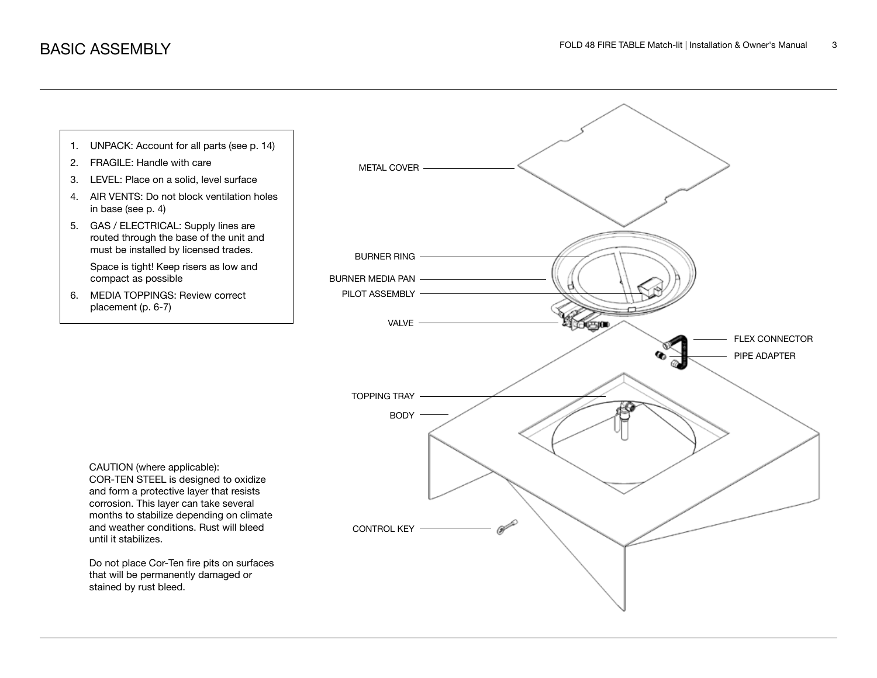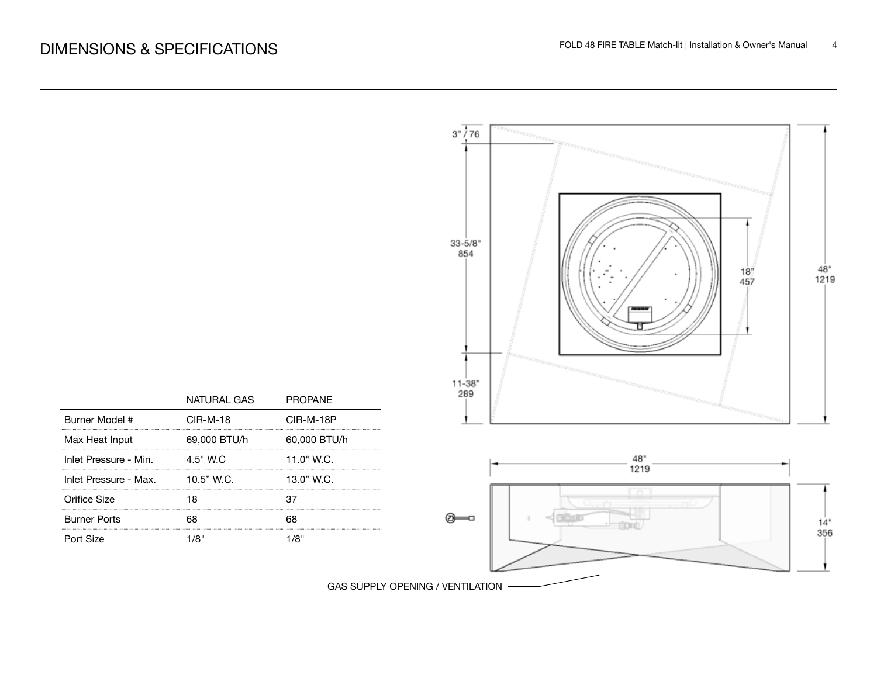

GAS SUPPLY OPENING / VENTILATION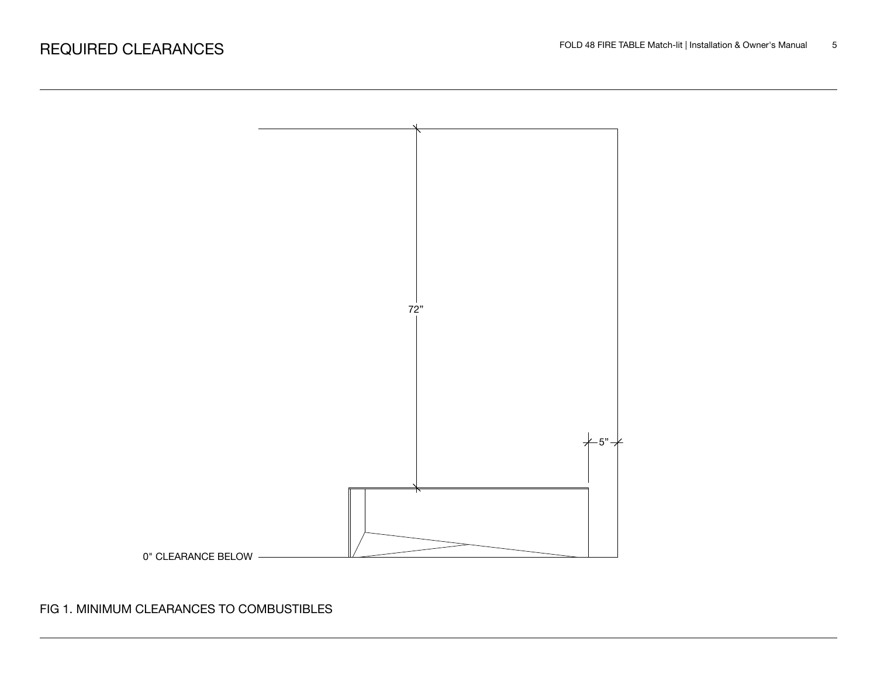

### FIG 1. MINIMUM CLEARANCES TO COMBUSTIBLES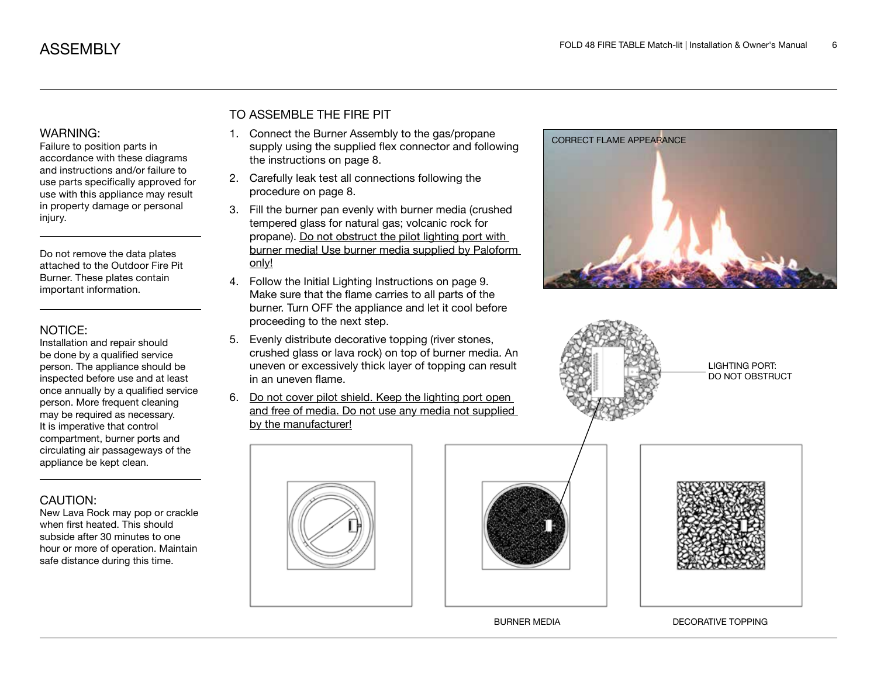### WARNING:

Failure to position parts in accordance with these diagrams and instructions and/or failure to use parts specifically approved for use with this appliance may result in property damage or personal injury.

Do not remove the data plates attached to the Outdoor Fire Pit Burner. These plates contain important information.

### NOTICE:

Installation and repair should be done by a qualified service person. The appliance should be inspected before use and at least once annually by a qualified service person. More frequent cleaning may be required as necessary. It is imperative that control compartment, burner ports and circulating air passageways of the appliance be kept clean.

### CAUTION:

New Lava Rock may pop or crackle when first heated. This should subside after 30 minutes to one hour or more of operation. Maintain safe distance during this time.

### TO ASSEMBLE THE FIRE PIT

- 1. Connect the Burner Assembly to the gas/propane supply using the supplied flex connector and following the instructions on page 8.
- 2. Carefully leak test all connections following the procedure on page 8.
- 3. Fill the burner pan evenly with burner media (crushed tempered glass for natural gas; volcanic rock for propane). Do not obstruct the pilot lighting port with burner media! Use burner media supplied by Paloform only!
- 4. Follow the Initial Lighting Instructions on page 9. Make sure that the flame carries to all parts of the burner. Turn OFF the appliance and let it cool before proceeding to the next step.
- 5. Evenly distribute decorative topping (river stones, crushed glass or lava rock) on top of burner media. An uneven or excessively thick layer of topping can result in an uneven flame.
- 6. Do not cover pilot shield. Keep the lighting port open and free of media. Do not use any media not supplied by the manufacturer!









CORRECT FLAME APPEARANCE

LIGHTING PORT: DO NOT OBSTRUCT



BURNER MEDIA DECORATIVE TOPPING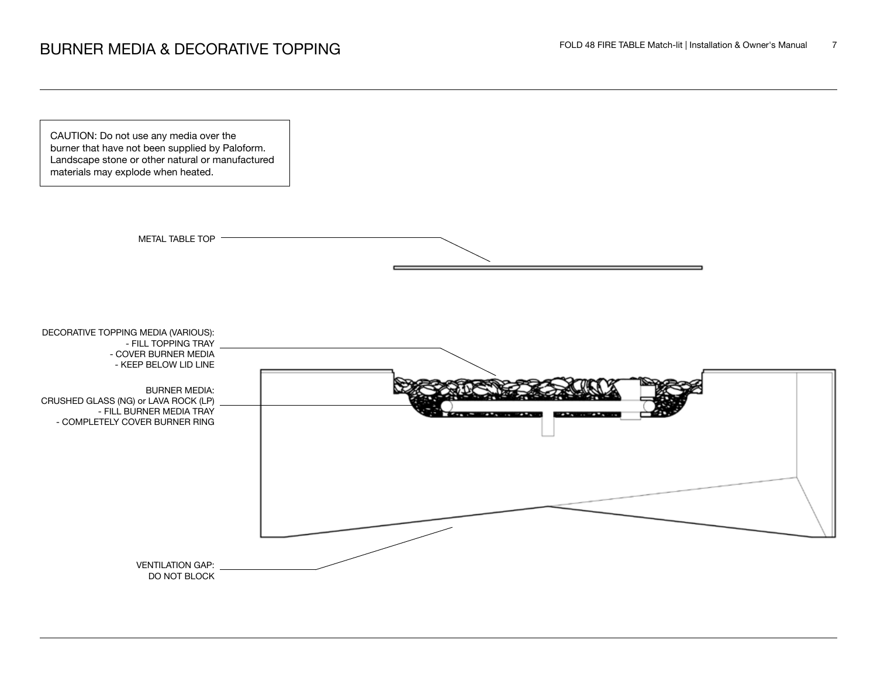CAUTION: Do not use any media over the burner that have not been supplied by Paloform. Landscape stone or other natural or manufactured materials may explode when heated.



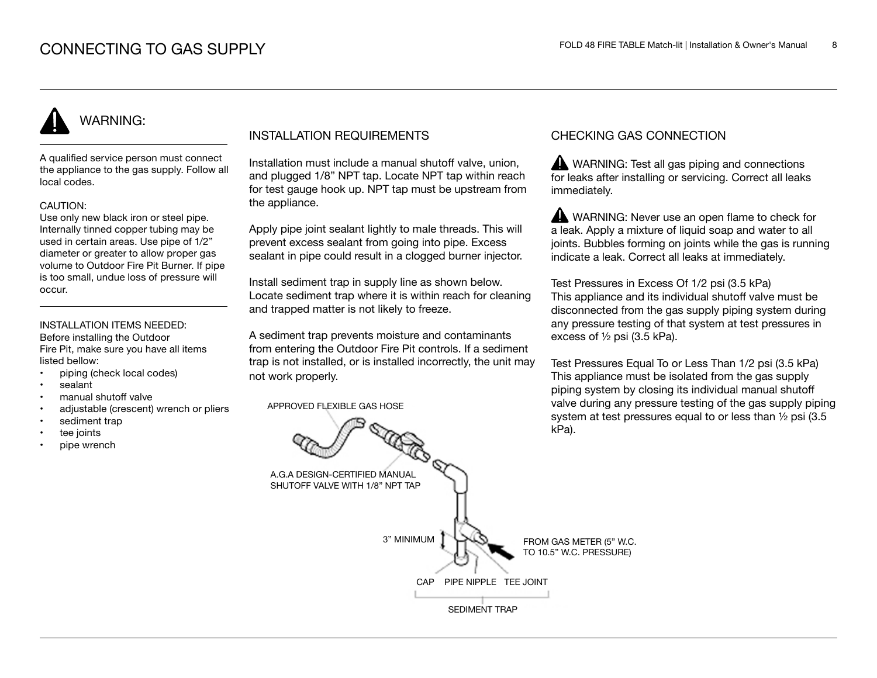# WARNING:

A qualified service person must connect the appliance to the gas supply. Follow all local codes.

### CAUTION:

Use only new black iron or steel pipe. Internally tinned copper tubing may be used in certain areas. Use pipe of 1/2" diameter or greater to allow proper gas volume to Outdoor Fire Pit Burner. If pipe is too small, undue loss of pressure will occur.

### INSTALLATION ITEMS NEEDED:

Before installing the Outdoor Fire Pit, make sure you have all items listed bellow:

- piping (check local codes)
- sealant
- manual shutoff valve
- adjustable (crescent) wrench or pliers
- sediment trap
- tee joints
- pipe wrench

### INSTALLATION REQUIREMENTS

Installation must include a manual shutoff valve, union, and plugged 1/8" NPT tap. Locate NPT tap within reach for test gauge hook up. NPT tap must be upstream from the appliance.

Apply pipe joint sealant lightly to male threads. This will prevent excess sealant from going into pipe. Excess sealant in pipe could result in a clogged burner injector.

Install sediment trap in supply line as shown below. Locate sediment trap where it is within reach for cleaning and trapped matter is not likely to freeze.

A sediment trap prevents moisture and contaminants from entering the Outdoor Fire Pit controls. If a sediment trap is not installed, or is installed incorrectly, the unit may not work properly.

APPROVED FLEXIBLE GAS HOSE

### CHECKING GAS CONNECTION

WARNING: Test all gas piping and connections for leaks after installing or servicing. Correct all leaks immediately.

WARNING: Never use an open flame to check for a leak. Apply a mixture of liquid soap and water to all joints. Bubbles forming on joints while the gas is running indicate a leak. Correct all leaks at immediately.

Test Pressures in Excess Of 1/2 psi (3.5 kPa) This appliance and its individual shutoff valve must be disconnected from the gas supply piping system during any pressure testing of that system at test pressures in excess of ½ psi (3.5 kPa).

Test Pressures Equal To or Less Than 1/2 psi (3.5 kPa) This appliance must be isolated from the gas supply piping system by closing its individual manual shutoff valve during any pressure testing of the gas supply piping system at test pressures equal to or less than ½ psi (3.5 kPa).

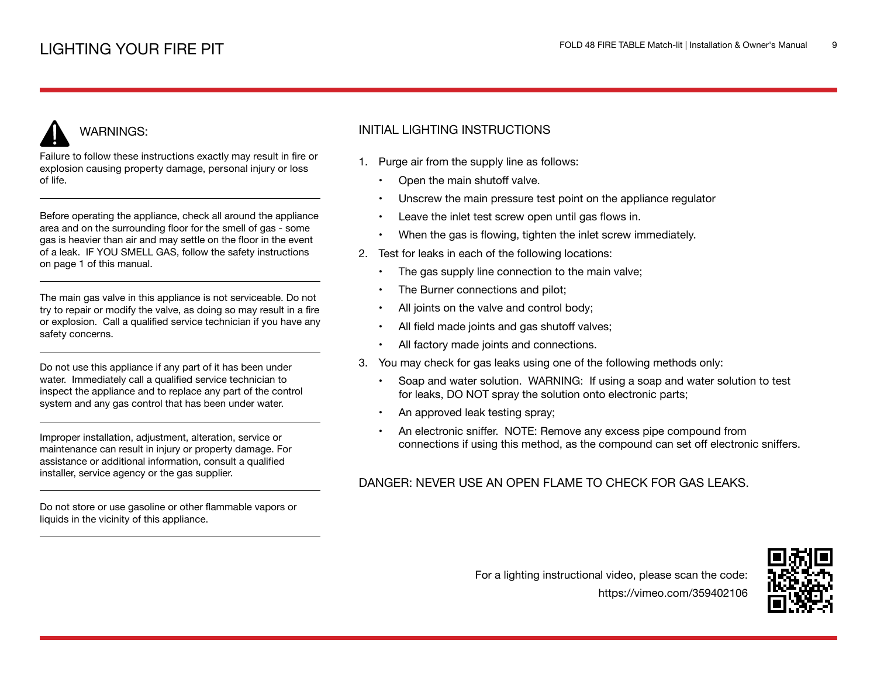# WARNINGS:

Failure to follow these instructions exactly may result in fire or explosion causing property damage, personal injury or loss of life.

Before operating the appliance, check all around the appliance area and on the surrounding floor for the smell of gas - some gas is heavier than air and may settle on the floor in the event of a leak. IF YOU SMELL GAS, follow the safety instructions on page 1 of this manual.

The main gas valve in this appliance is not serviceable. Do not try to repair or modify the valve, as doing so may result in a fire or explosion. Call a qualified service technician if you have any safety concerns.

Do not use this appliance if any part of it has been under water. Immediately call a qualified service technician to inspect the appliance and to replace any part of the control system and any gas control that has been under water.

Improper installation, adjustment, alteration, service or maintenance can result in injury or property damage. For assistance or additional information, consult a qualified installer, service agency or the gas supplier.

Do not store or use gasoline or other flammable vapors or liquids in the vicinity of this appliance.

### INITIAL LIGHTING INSTRUCTIONS

- 1. Purge air from the supply line as follows:
	- Open the main shutoff valve.
	- Unscrew the main pressure test point on the appliance regulator
	- Leave the inlet test screw open until gas flows in.
	- When the gas is flowing, tighten the inlet screw immediately.
- 2. Test for leaks in each of the following locations:
	- The gas supply line connection to the main valve;
	- The Burner connections and pilot;
	- All joints on the valve and control body;
	- All field made joints and gas shutoff valves;
	- All factory made joints and connections.
- 3. You may check for gas leaks using one of the following methods only:
	- Soap and water solution. WARNING: If using a soap and water solution to test for leaks, DO NOT spray the solution onto electronic parts;
	- An approved leak testing spray;
	- An electronic sniffer. NOTE: Remove any excess pipe compound from connections if using this method, as the compound can set off electronic sniffers.

### DANGER: NEVER USE AN OPEN FLAME TO CHECK FOR GAS LEAKS.



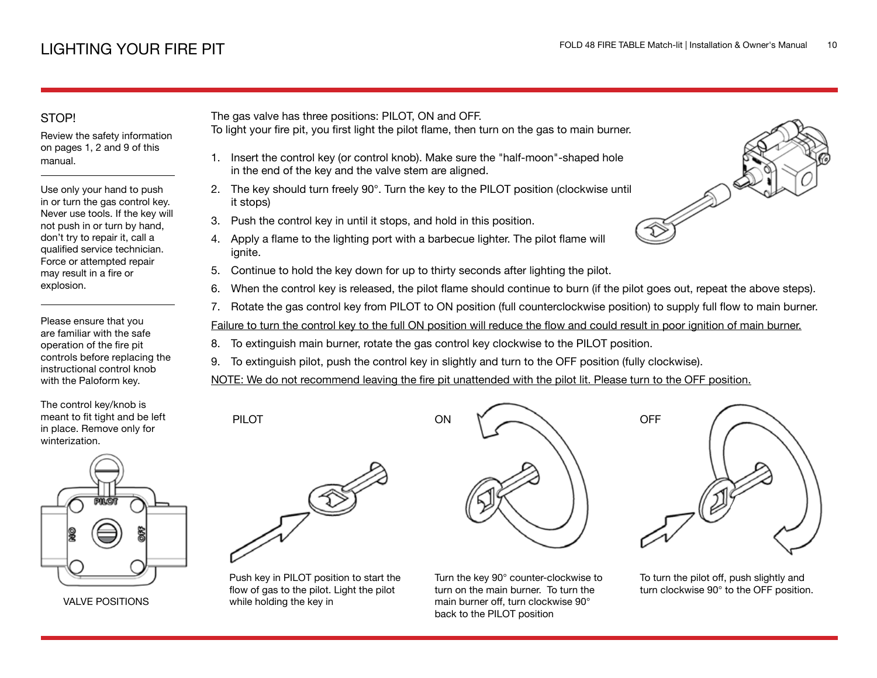### STOP!

Review the safety information on pages 1, 2 and 9 of this manual.

Use only your hand to push in or turn the gas control key. Never use tools. If the key will not push in or turn by hand, don't try to repair it, call a qualified service technician. Force or attempted repair may result in a fire or explosion.

Please ensure that you are familiar with the safe operation of the fire pit controls before replacing the instructional control knob with the Paloform key.

The control key/knob is meant to fit tight and be left in place. Remove only for winterization.



VALVE POSITIONS

The gas valve has three positions: PILOT, ON and OFF.

- To light your fire pit, you first light the pilot flame, then turn on the gas to main burner.
	- 1. Insert the control key (or control knob). Make sure the "half-moon"-shaped hole in the end of the key and the valve stem are aligned.
- 2. The key should turn freely 90°. Turn the key to the PILOT position (clockwise until it stops)
- 3. Push the control key in until it stops, and hold in this position.
- 4. Apply a flame to the lighting port with a barbecue lighter. The pilot flame will ignite.
- 5. Continue to hold the key down for up to thirty seconds after lighting the pilot.
- 6. When the control key is released, the pilot flame should continue to burn (if the pilot goes out, repeat the above steps).
- 7. Rotate the gas control key from PILOT to ON position (full counterclockwise position) to supply full flow to main burner.

Failure to turn the control key to the full ON position will reduce the flow and could result in poor ignition of main burner.

- 8. To extinguish main burner, rotate the gas control key clockwise to the PILOT position.
- 9. To extinguish pilot, push the control key in slightly and turn to the OFF position (fully clockwise).

NOTE: We do not recommend leaving the fire pit unattended with the pilot lit. Please turn to the OFF position.



PILOT

Push key in PILOT position to start the flow of gas to the pilot. Light the pilot while holding the key in



Turn the key 90° counter-clockwise to turn on the main burner. To turn the main burner off, turn clockwise 90° back to the PILOT position



To turn the pilot off, push slightly and turn clockwise 90° to the OFF position.

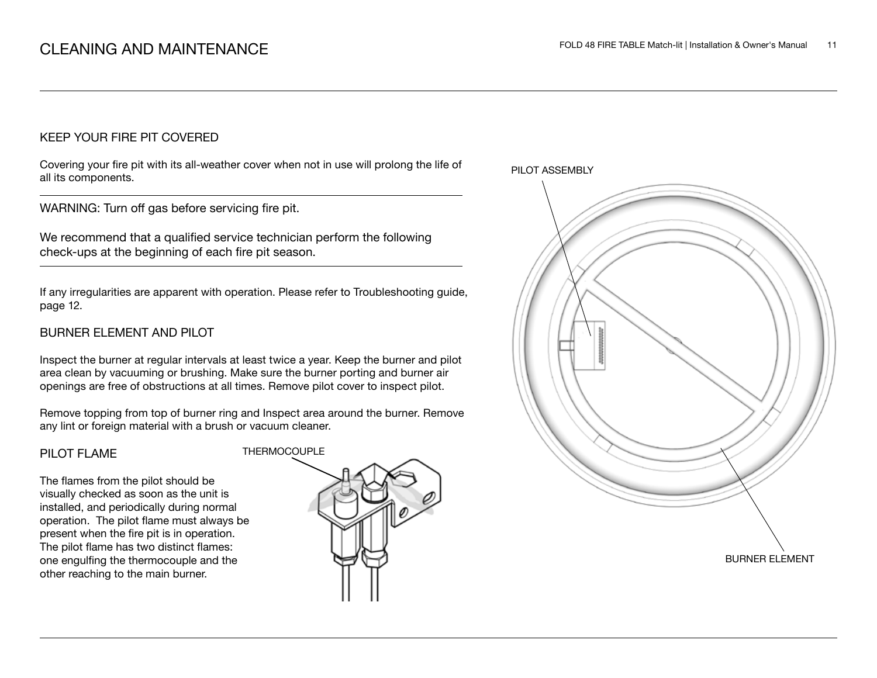### KEEP YOUR FIRE PIT COVERED

Covering your fire pit with its all-weather cover when not in use will prolong the life of all its components.

WARNING: Turn off gas before servicing fire pit.

We recommend that a qualified service technician perform the following check-ups at the beginning of each fire pit season.

If any irregularities are apparent with operation. Please refer to Troubleshooting guide, page 12.

### BURNER ELEMENT AND PILOT

Inspect the burner at regular intervals at least twice a year. Keep the burner and pilot area clean by vacuuming or brushing. Make sure the burner porting and burner air openings are free of obstructions at all times. Remove pilot cover to inspect pilot.

Remove topping from top of burner ring and Inspect area around the burner. Remove any lint or foreign material with a brush or vacuum cleaner.

### PILOT FLAME

The flames from the pilot should be visually checked as soon as the unit is installed, and periodically during normal operation. The pilot flame must always be present when the fire pit is in operation. The pilot flame has two distinct flames: one engulfing the thermocouple and the other reaching to the main burner.



PILOT ASSEMBLY

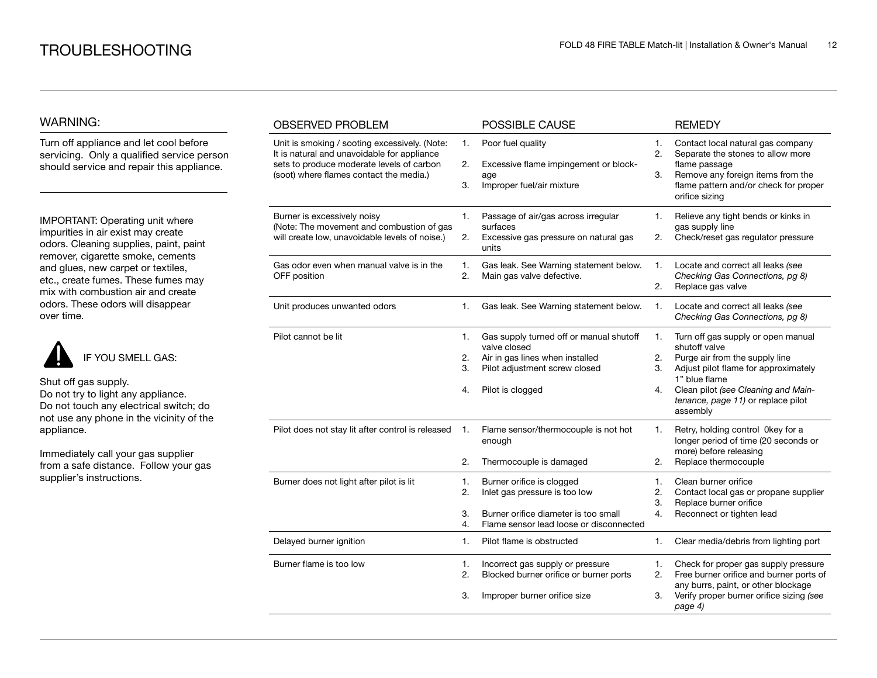### WARNING:

Turn off appliance and let cool before servicing. Only a qualified service person should service and repair this appliance.

IMPORTANT: Operating unit where impurities in air exist may create odors. Cleaning supplies, paint, paint remover, cigarette smoke, cements and glues, new carpet or textiles, etc., create fumes. These fumes may mix with combustion air and create odors. These odors will disappear over time.



Shut off gas supply. Do not try to light any appliance.

Do not touch any electrical switch; do not use any phone in the vicinity of the appliance.

Immediately call your gas supplier from a safe distance. Follow your gas supplier's instructions.

| <b>OBSERVED PROBLEM</b>                                                                                                                                                              |                      | POSSIBLE CAUSE                                                                                                                                  |                      | <b>REMEDY</b>                                                                                                                                                                                                                           |
|--------------------------------------------------------------------------------------------------------------------------------------------------------------------------------------|----------------------|-------------------------------------------------------------------------------------------------------------------------------------------------|----------------------|-----------------------------------------------------------------------------------------------------------------------------------------------------------------------------------------------------------------------------------------|
| Unit is smoking / sooting excessively. (Note:<br>It is natural and unavoidable for appliance<br>sets to produce moderate levels of carbon<br>(soot) where flames contact the media.) | 1.<br>2.<br>3.       | Poor fuel quality<br>Excessive flame impingement or block-<br>age<br>Improper fuel/air mixture                                                  | 1.<br>2.<br>3.       | Contact local natural gas company<br>Separate the stones to allow more<br>flame passage<br>Remove any foreign items from the<br>flame pattern and/or check for proper<br>orifice sizing                                                 |
| Burner is excessively noisy<br>(Note: The movement and combustion of gas<br>will create low, unavoidable levels of noise.)                                                           | 1.<br>2.             | Passage of air/gas across irregular<br>surfaces<br>Excessive gas pressure on natural gas<br>units                                               | 1.<br>2.             | Relieve any tight bends or kinks in<br>gas supply line<br>Check/reset gas regulator pressure                                                                                                                                            |
| Gas odor even when manual valve is in the<br>OFF position                                                                                                                            | 1.<br>2.             | Gas leak. See Warning statement below.<br>Main gas valve defective.                                                                             | 1.<br>2.             | Locate and correct all leaks (see<br>Checking Gas Connections, pg 8)<br>Replace gas valve                                                                                                                                               |
| Unit produces unwanted odors                                                                                                                                                         | 1.                   | Gas leak. See Warning statement below.                                                                                                          | 1.                   | Locate and correct all leaks (see<br>Checking Gas Connections, pg 8)                                                                                                                                                                    |
| Pilot cannot be lit                                                                                                                                                                  | 1.<br>2.<br>3.<br>4. | Gas supply turned off or manual shutoff<br>valve closed<br>Air in gas lines when installed<br>Pilot adjustment screw closed<br>Pilot is clogged | 1.<br>2.<br>3.<br>4. | Turn off gas supply or open manual<br>shutoff valve<br>Purge air from the supply line<br>Adjust pilot flame for approximately<br>1" blue flame<br>Clean pilot (see Cleaning and Main-<br>tenance, page 11) or replace pilot<br>assembly |
| Pilot does not stay lit after control is released                                                                                                                                    | 1.<br>2.             | Flame sensor/thermocouple is not hot<br>enough<br>Thermocouple is damaged                                                                       | 1.<br>2.             | Retry, holding control 0key for a<br>longer period of time (20 seconds or<br>more) before releasing<br>Replace thermocouple                                                                                                             |
| Burner does not light after pilot is lit                                                                                                                                             | 1.<br>2.<br>3.<br>4. | Burner orifice is clogged<br>Inlet gas pressure is too low<br>Burner orifice diameter is too small<br>Flame sensor lead loose or disconnected   | 1.<br>2.<br>3.<br>4. | Clean burner orifice<br>Contact local gas or propane supplier<br>Replace burner orifice<br>Reconnect or tighten lead                                                                                                                    |
| Delayed burner ignition                                                                                                                                                              | 1.                   | Pilot flame is obstructed                                                                                                                       | 1.                   | Clear media/debris from lighting port                                                                                                                                                                                                   |
| Burner flame is too low                                                                                                                                                              | 1.<br>2.<br>3.       | Incorrect gas supply or pressure<br>Blocked burner orifice or burner ports<br>Improper burner orifice size                                      | 1.<br>2.<br>3.       | Check for proper gas supply pressure<br>Free burner orifice and burner ports of<br>any burrs, paint, or other blockage<br>Verify proper burner orifice sizing (see<br>page 4)                                                           |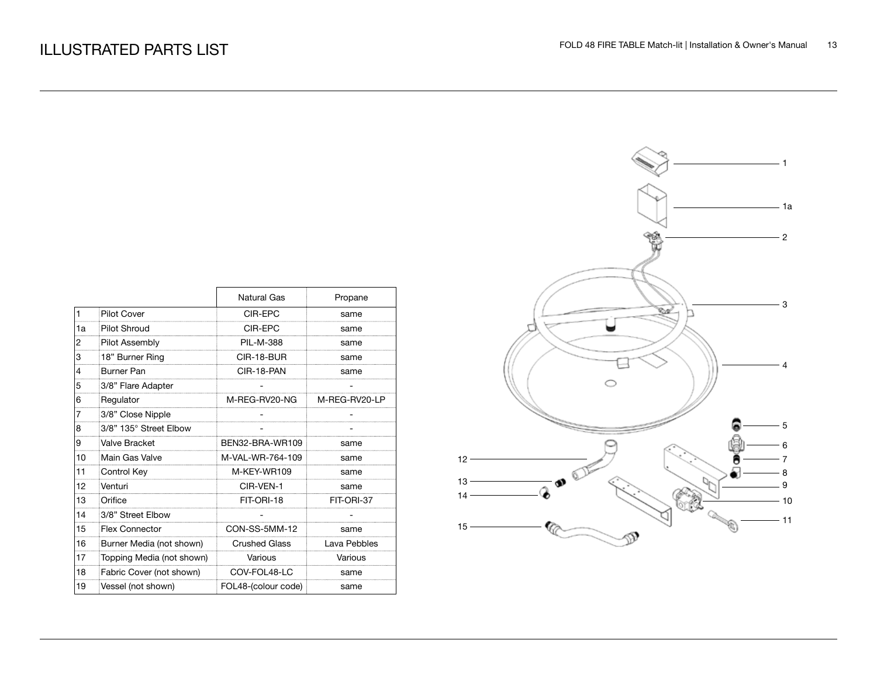|                |                           | Natural Gas          | Propane       |
|----------------|---------------------------|----------------------|---------------|
| $\blacksquare$ | <b>Pilot Cover</b>        | CIR-EPC              | same          |
| 1a             | Pilot Shroud              | CIR-EPC              | same          |
| 2              | Pilot Assembly            | <b>PIL-M-388</b>     | same          |
| 3              | 18" Burner Ring           | CIR-18-BUR           | same          |
| 4              | <b>Burner Pan</b>         | CIR-18-PAN           | same          |
| 5              | 3/8" Flare Adapter        |                      |               |
| 6              | Regulator                 | M-REG-RV20-NG        | M-REG-RV20-LP |
| 7              | 3/8" Close Nipple         |                      |               |
| 8              | 3/8" 135° Street Elbow    |                      |               |
| 9              | Valve Bracket             | BEN32-BRA-WR109      | same          |
| 10             | Main Gas Valve            | M-VAL-WR-764-109     | same          |
| 11             | Control Key               | M-KEY-WR109          | same          |
| 12             | Venturi                   | CIR-VFN-1            | same          |
| 13             | Orifice                   | FIT-ORI-18           | FIT-ORI-37    |
| 14             | 3/8" Street Elbow         |                      |               |
| 15             | <b>Flex Connector</b>     | CON-SS-5MM-12        | same          |
| 16             | Burner Media (not shown)  | <b>Crushed Glass</b> | Lava Pebbles  |
| 17             | Topping Media (not shown) | Various              | Various       |
| 18             | Fabric Cover (not shown)  | COV-FOL48-LC         | same          |
| 19             | Vessel (not shown)        | FOL48-(colour code)  | same          |